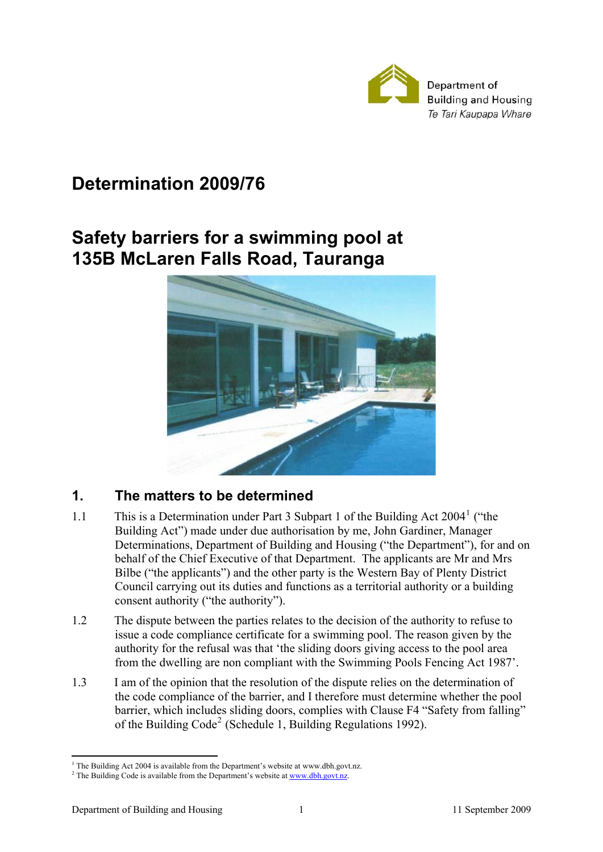

# **Determination 2009/76**

# **Safety barriers for a swimming pool at 135B McLaren Falls Road, Tauranga**



# **1. The matters to be determined**

- [1](#page-0-0).1 This is a Determination under Part 3 Subpart 1 of the Building Act 2004<sup>1</sup> ("the Building Act") made under due authorisation by me, John Gardiner, Manager Determinations, Department of Building and Housing ("the Department"), for and on behalf of the Chief Executive of that Department. The applicants are Mr and Mrs Bilbe ("the applicants") and the other party is the Western Bay of Plenty District Council carrying out its duties and functions as a territorial authority or a building consent authority ("the authority").
- 1.2 The dispute between the parties relates to the decision of the authority to refuse to issue a code compliance certificate for a swimming pool. The reason given by the authority for the refusal was that 'the sliding doors giving access to the pool area from the dwelling are non compliant with the Swimming Pools Fencing Act 1987'.
- 1.3 I am of the opinion that the resolution of the dispute relies on the determination of the code compliance of the barrier, and I therefore must determine whether the pool barrier, which includes sliding doors, complies with Clause F4 "Safety from falling" of the Building Code<sup>[2](#page-0-1)</sup> (Schedule 1, Building Regulations 1992).

<sup>1</sup> <sup>1</sup> The Building Act 2004 is available from the Department's website at www.dbh.govt.nz.

<span id="page-0-1"></span><span id="page-0-0"></span><sup>&</sup>lt;sup>2</sup> The Building Code is available from the Department's website at  $\frac{www.dbh.gov.nz}{www.dbh.gov.nz}$ .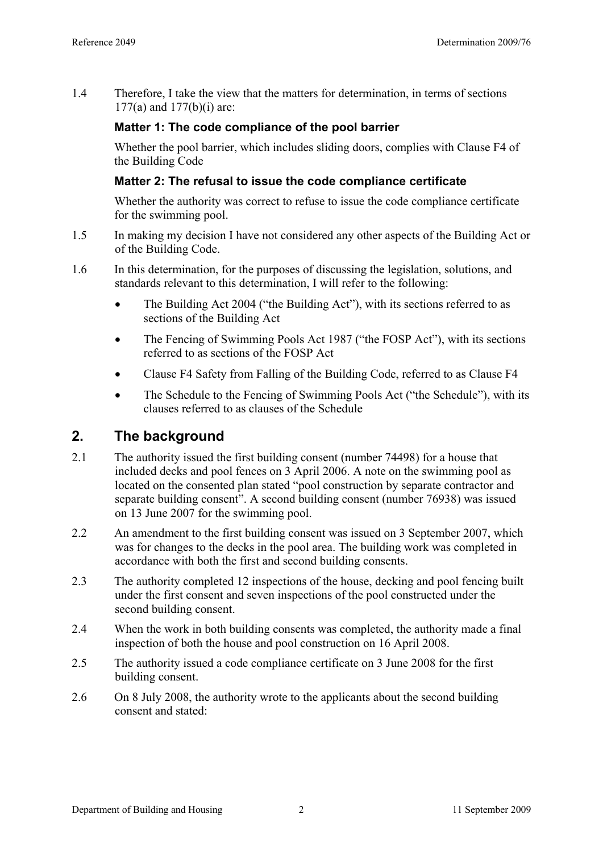1.4 Therefore, I take the view that the matters for determination, in terms of sections 177(a) and 177(b)(i) are:

### **Matter 1: The code compliance of the pool barrier**

Whether the pool barrier, which includes sliding doors, complies with Clause F4 of the Building Code

### **Matter 2: The refusal to issue the code compliance certificate**

Whether the authority was correct to refuse to issue the code compliance certificate for the swimming pool.

- 1.5 In making my decision I have not considered any other aspects of the Building Act or of the Building Code.
- 1.6 In this determination, for the purposes of discussing the legislation, solutions, and standards relevant to this determination, I will refer to the following:
	- The Building Act 2004 ("the Building Act"), with its sections referred to as sections of the Building Act
	- The Fencing of Swimming Pools Act 1987 ("the FOSP Act"), with its sections referred to as sections of the FOSP Act
	- Clause F4 Safety from Falling of the Building Code, referred to as Clause F4
	- The Schedule to the Fencing of Swimming Pools Act ("the Schedule"), with its clauses referred to as clauses of the Schedule

# **2. The background**

- 2.1 The authority issued the first building consent (number 74498) for a house that included decks and pool fences on 3 April 2006. A note on the swimming pool as located on the consented plan stated "pool construction by separate contractor and separate building consent". A second building consent (number 76938) was issued on 13 June 2007 for the swimming pool.
- 2.2 An amendment to the first building consent was issued on 3 September 2007, which was for changes to the decks in the pool area. The building work was completed in accordance with both the first and second building consents.
- 2.3 The authority completed 12 inspections of the house, decking and pool fencing built under the first consent and seven inspections of the pool constructed under the second building consent.
- 2.4 When the work in both building consents was completed, the authority made a final inspection of both the house and pool construction on 16 April 2008.
- 2.5 The authority issued a code compliance certificate on 3 June 2008 for the first building consent.
- 2.6 On 8 July 2008, the authority wrote to the applicants about the second building consent and stated: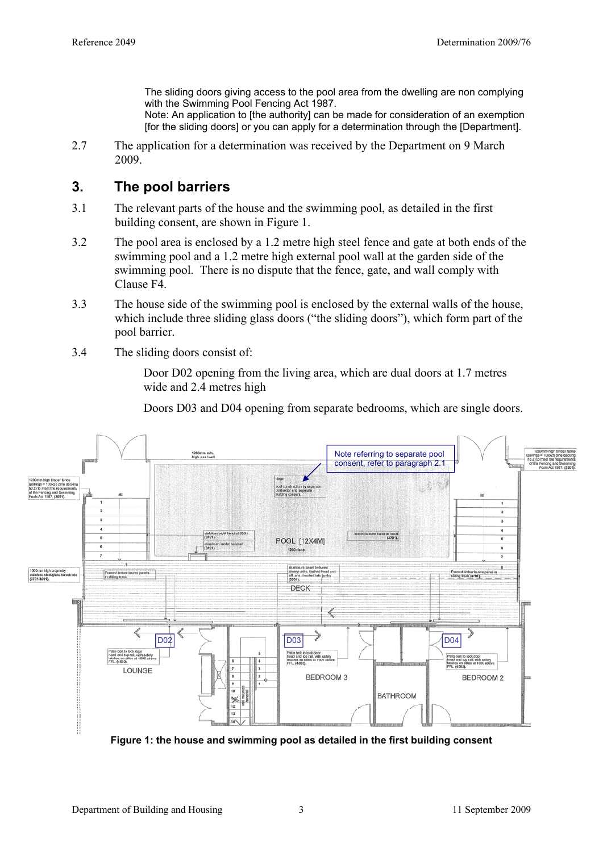The sliding doors giving access to the pool area from the dwelling are non complying with the Swimming Pool Fencing Act 1987.

Note: An application to [the authority] can be made for consideration of an exemption [for the sliding doors] or you can apply for a determination through the [Department].

2.7 The application for a determination was received by the Department on 9 March 2009.

# **3. The pool barriers**

- 3.1 The relevant parts of the house and the swimming pool, as detailed in the first building consent, are shown in Figure 1.
- 3.2 The pool area is enclosed by a 1.2 metre high steel fence and gate at both ends of the swimming pool and a 1.2 metre high external pool wall at the garden side of the swimming pool. There is no dispute that the fence, gate, and wall comply with Clause F4.
- 3.3 The house side of the swimming pool is enclosed by the external walls of the house, which include three sliding glass doors ("the sliding doors"), which form part of the pool barrier.
- 3.4 The sliding doors consist of:

Door D02 opening from the living area, which are dual doors at 1.7 metres wide and 2.4 metres high

Doors D03 and D04 opening from separate bedrooms, which are single doors.



**Figure 1: the house and swimming pool as detailed in the first building consent**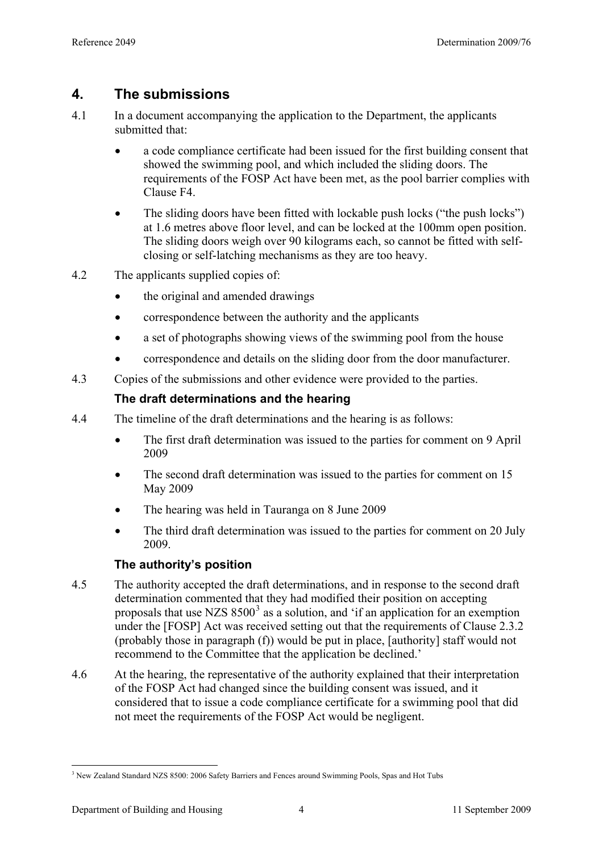# **4. The submissions**

- 4.1 In a document accompanying the application to the Department, the applicants submitted that:
	- a code compliance certificate had been issued for the first building consent that showed the swimming pool, and which included the sliding doors. The requirements of the FOSP Act have been met, as the pool barrier complies with Clause F4.
	- The sliding doors have been fitted with lockable push locks ("the push locks") at 1.6 metres above floor level, and can be locked at the 100mm open position. The sliding doors weigh over 90 kilograms each, so cannot be fitted with selfclosing or self-latching mechanisms as they are too heavy.
- 4.2 The applicants supplied copies of:
	- the original and amended drawings
	- correspondence between the authority and the applicants
	- a set of photographs showing views of the swimming pool from the house
	- correspondence and details on the sliding door from the door manufacturer.
- 4.3 Copies of the submissions and other evidence were provided to the parties.

# **The draft determinations and the hearing**

- 4.4 The timeline of the draft determinations and the hearing is as follows:
	- The first draft determination was issued to the parties for comment on 9 April 2009
	- The second draft determination was issued to the parties for comment on 15 May 2009
	- The hearing was held in Tauranga on 8 June 2009
	- The third draft determination was issued to the parties for comment on 20 July 2009.

# **The authority's position**

- 4.5 The authority accepted the draft determinations, and in response to the second draft determination commented that they had modified their position on accepting proposals that use NZS  $8500<sup>3</sup>$  $8500<sup>3</sup>$  $8500<sup>3</sup>$  as a solution, and 'if an application for an exemption under the [FOSP] Act was received setting out that the requirements of Clause 2.3.2 (probably those in paragraph (f)) would be put in place, [authority] staff would not recommend to the Committee that the application be declined.'
- 4.6 At the hearing, the representative of the authority explained that their interpretation of the FOSP Act had changed since the building consent was issued, and it considered that to issue a code compliance certificate for a swimming pool that did not meet the requirements of the FOSP Act would be negligent.

<span id="page-3-0"></span><sup>&</sup>lt;u>.</u> <sup>3</sup> New Zealand Standard NZS 8500: 2006 Safety Barriers and Fences around Swimming Pools, Spas and Hot Tubs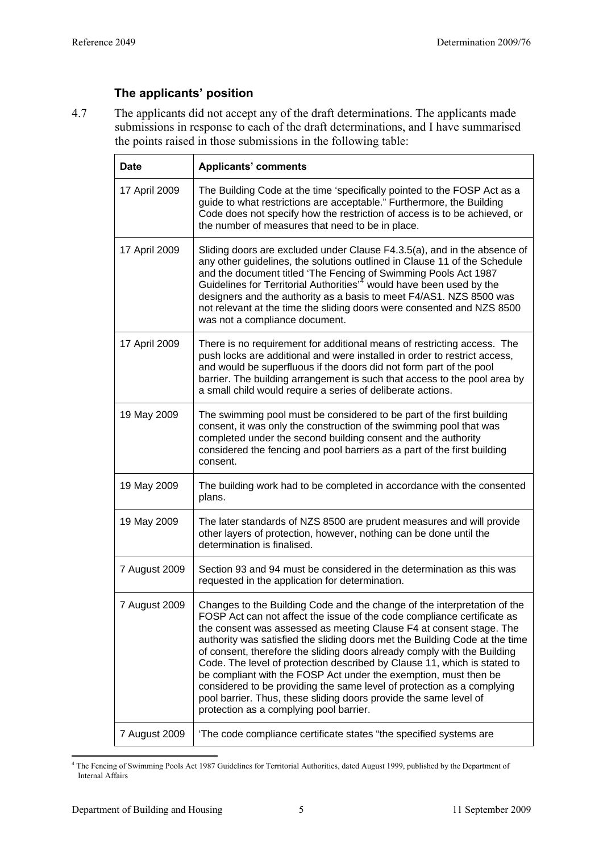# **The applicants' position**

<span id="page-4-1"></span>4.7 The applicants did not accept any of the draft determinations. The applicants made submissions in response to each of the draft determinations, and I have summarised the points raised in those submissions in the following table:

| <b>Date</b>   | <b>Applicants' comments</b>                                                                                                                                                                                                                                                                                                                                                                                                                                                                                                                                                                                                                                                                                                     |
|---------------|---------------------------------------------------------------------------------------------------------------------------------------------------------------------------------------------------------------------------------------------------------------------------------------------------------------------------------------------------------------------------------------------------------------------------------------------------------------------------------------------------------------------------------------------------------------------------------------------------------------------------------------------------------------------------------------------------------------------------------|
| 17 April 2009 | The Building Code at the time 'specifically pointed to the FOSP Act as a<br>guide to what restrictions are acceptable." Furthermore, the Building<br>Code does not specify how the restriction of access is to be achieved, or<br>the number of measures that need to be in place.                                                                                                                                                                                                                                                                                                                                                                                                                                              |
| 17 April 2009 | Sliding doors are excluded under Clause F4.3.5(a), and in the absence of<br>any other guidelines, the solutions outlined in Clause 11 of the Schedule<br>and the document titled 'The Fencing of Swimming Pools Act 1987<br>Guidelines for Territorial Authorities <sup>74</sup> would have been used by the<br>designers and the authority as a basis to meet F4/AS1. NZS 8500 was<br>not relevant at the time the sliding doors were consented and NZS 8500<br>was not a compliance document.                                                                                                                                                                                                                                 |
| 17 April 2009 | There is no requirement for additional means of restricting access. The<br>push locks are additional and were installed in order to restrict access,<br>and would be superfluous if the doors did not form part of the pool<br>barrier. The building arrangement is such that access to the pool area by<br>a small child would require a series of deliberate actions.                                                                                                                                                                                                                                                                                                                                                         |
| 19 May 2009   | The swimming pool must be considered to be part of the first building<br>consent, it was only the construction of the swimming pool that was<br>completed under the second building consent and the authority<br>considered the fencing and pool barriers as a part of the first building<br>consent.                                                                                                                                                                                                                                                                                                                                                                                                                           |
| 19 May 2009   | The building work had to be completed in accordance with the consented<br>plans.                                                                                                                                                                                                                                                                                                                                                                                                                                                                                                                                                                                                                                                |
| 19 May 2009   | The later standards of NZS 8500 are prudent measures and will provide<br>other layers of protection, however, nothing can be done until the<br>determination is finalised.                                                                                                                                                                                                                                                                                                                                                                                                                                                                                                                                                      |
| 7 August 2009 | Section 93 and 94 must be considered in the determination as this was<br>requested in the application for determination.                                                                                                                                                                                                                                                                                                                                                                                                                                                                                                                                                                                                        |
| 7 August 2009 | Changes to the Building Code and the change of the interpretation of the<br>FOSP Act can not affect the issue of the code compliance certificate as<br>the consent was assessed as meeting Clause F4 at consent stage. The<br>authority was satisfied the sliding doors met the Building Code at the time<br>of consent, therefore the sliding doors already comply with the Building<br>Code. The level of protection described by Clause 11, which is stated to<br>be compliant with the FOSP Act under the exemption, must then be<br>considered to be providing the same level of protection as a complying<br>pool barrier. Thus, these sliding doors provide the same level of<br>protection as a complying pool barrier. |
| 7 August 2009 | 'The code compliance certificate states "the specified systems are                                                                                                                                                                                                                                                                                                                                                                                                                                                                                                                                                                                                                                                              |

<span id="page-4-0"></span> 4 The Fencing of Swimming Pools Act 1987 Guidelines for Territorial Authorities, dated August 1999, published by the Department of Internal Affairs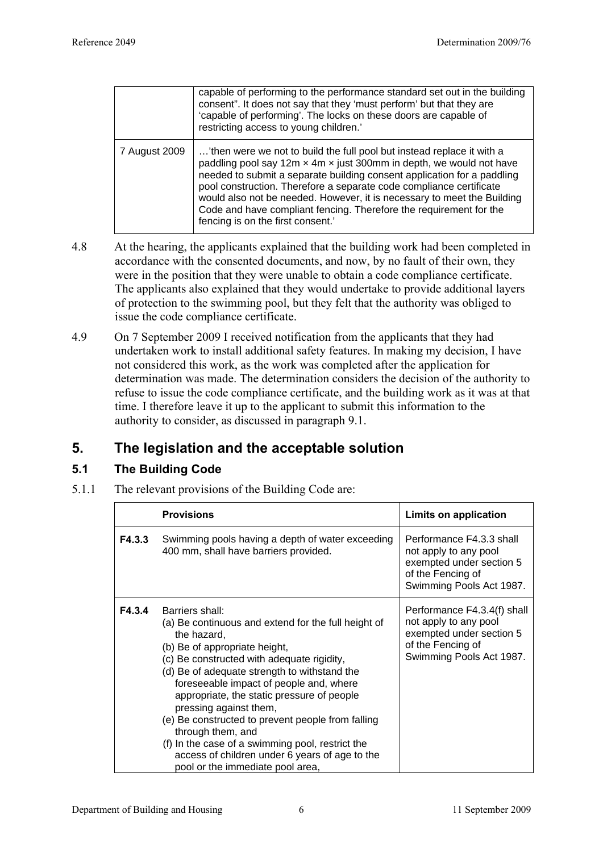|               | capable of performing to the performance standard set out in the building<br>consent". It does not say that they 'must perform' but that they are<br>'capable of performing'. The locks on these doors are capable of<br>restricting access to young children.'                                                                                                                                                                                                                       |
|---------------|---------------------------------------------------------------------------------------------------------------------------------------------------------------------------------------------------------------------------------------------------------------------------------------------------------------------------------------------------------------------------------------------------------------------------------------------------------------------------------------|
| 7 August 2009 | 'then were we not to build the full pool but instead replace it with a<br>paddling pool say 12m x 4m x just 300mm in depth, we would not have<br>needed to submit a separate building consent application for a paddling<br>pool construction. Therefore a separate code compliance certificate<br>would also not be needed. However, it is necessary to meet the Building<br>Code and have compliant fencing. Therefore the requirement for the<br>fencing is on the first consent.' |

- 4.8 At the hearing, the applicants explained that the building work had been completed in accordance with the consented documents, and now, by no fault of their own, they were in the position that they were unable to obtain a code compliance certificate. The applicants also explained that they would undertake to provide additional layers of protection to the swimming pool, but they felt that the authority was obliged to issue the code compliance certificate.
- 4.9 On 7 September 2009 I received notification from the applicants that they had undertaken work to install additional safety features. In making my decision, I have not considered this work, as the work was completed after the application for determination was made. The determination considers the decision of the authority to refuse to issue the code compliance certificate, and the building work as it was at that time. I therefore leave it up to the applicant to submit this information to the authority to consider, as discussed in paragraph [9.1](#page-10-0).

# **5. The legislation and the acceptable solution**

# **5.1 The Building Code**

5.1.1 The relevant provisions of the Building Code are:

|        | <b>Provisions</b>                                                                                                                                                                                                                                                                                                                                                                                                                                                                                                                                           | Limits on application                                                                                                             |
|--------|-------------------------------------------------------------------------------------------------------------------------------------------------------------------------------------------------------------------------------------------------------------------------------------------------------------------------------------------------------------------------------------------------------------------------------------------------------------------------------------------------------------------------------------------------------------|-----------------------------------------------------------------------------------------------------------------------------------|
| F4.3.3 | Swimming pools having a depth of water exceeding<br>400 mm, shall have barriers provided.                                                                                                                                                                                                                                                                                                                                                                                                                                                                   | Performance F4.3.3 shall<br>not apply to any pool<br>exempted under section 5<br>of the Fencing of<br>Swimming Pools Act 1987.    |
| F4.3.4 | Barriers shall:<br>(a) Be continuous and extend for the full height of<br>the hazard,<br>(b) Be of appropriate height,<br>(c) Be constructed with adequate rigidity,<br>(d) Be of adequate strength to withstand the<br>foreseeable impact of people and, where<br>appropriate, the static pressure of people<br>pressing against them,<br>(e) Be constructed to prevent people from falling<br>through them, and<br>(f) In the case of a swimming pool, restrict the<br>access of children under 6 years of age to the<br>pool or the immediate pool area, | Performance F4.3.4(f) shall<br>not apply to any pool<br>exempted under section 5<br>of the Fencing of<br>Swimming Pools Act 1987. |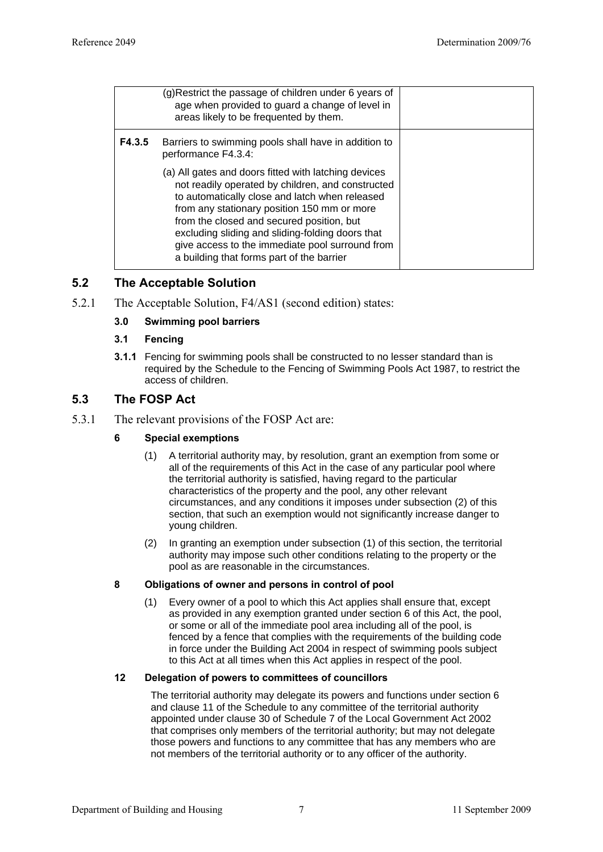|        | (g)Restrict the passage of children under 6 years of<br>age when provided to guard a change of level in<br>areas likely to be frequented by them.                                                                                                                                                                                                                                                           |  |
|--------|-------------------------------------------------------------------------------------------------------------------------------------------------------------------------------------------------------------------------------------------------------------------------------------------------------------------------------------------------------------------------------------------------------------|--|
| F4.3.5 | Barriers to swimming pools shall have in addition to<br>performance F4.3.4:                                                                                                                                                                                                                                                                                                                                 |  |
|        | (a) All gates and doors fitted with latching devices<br>not readily operated by children, and constructed<br>to automatically close and latch when released<br>from any stationary position 150 mm or more<br>from the closed and secured position, but<br>excluding sliding and sliding-folding doors that<br>give access to the immediate pool surround from<br>a building that forms part of the barrier |  |

### **5.2 The Acceptable Solution**

5.2.1 The Acceptable Solution, F4/AS1 (second edition) states:

#### **3.0 Swimming pool barriers**

#### **3.1 Fencing**

**3.1.1** Fencing for swimming pools shall be constructed to no lesser standard than is required by the Schedule to the Fencing of Swimming Pools Act 1987, to restrict the access of children.

#### **5.3 The FOSP Act**

5.3.1 The relevant provisions of the FOSP Act are:

#### **6 Special exemptions**

- (1) A territorial authority may, by resolution, grant an exemption from some or all of the requirements of this Act in the case of any particular pool where the territorial authority is satisfied, having regard to the particular characteristics of the property and the pool, any other relevant circumstances, and any conditions it imposes under subsection (2) of this section, that such an exemption would not significantly increase danger to young children.
- (2) In granting an exemption under subsection (1) of this section, the territorial authority may impose such other conditions relating to the property or the pool as are reasonable in the circumstances.

#### **8 Obligations of owner and persons in control of pool**

(1) Every owner of a pool to which this Act applies shall ensure that, except as provided in any exemption granted under section 6 of this Act, the pool, or some or all of the immediate pool area including all of the pool, is fenced by a fence that complies with the requirements of the building code in force under the Building Act 2004 in respect of swimming pools subject to this Act at all times when this Act applies in respect of the pool.

#### **12 Delegation of powers to committees of councillors**

The territorial authority may delegate its powers and functions under section 6 and clause 11 of the Schedule to any committee of the territorial authority appointed under clause 30 of Schedule 7 of the Local Government Act 2002 that comprises only members of the territorial authority; but may not delegate those powers and functions to any committee that has any members who are not members of the territorial authority or to any officer of the authority.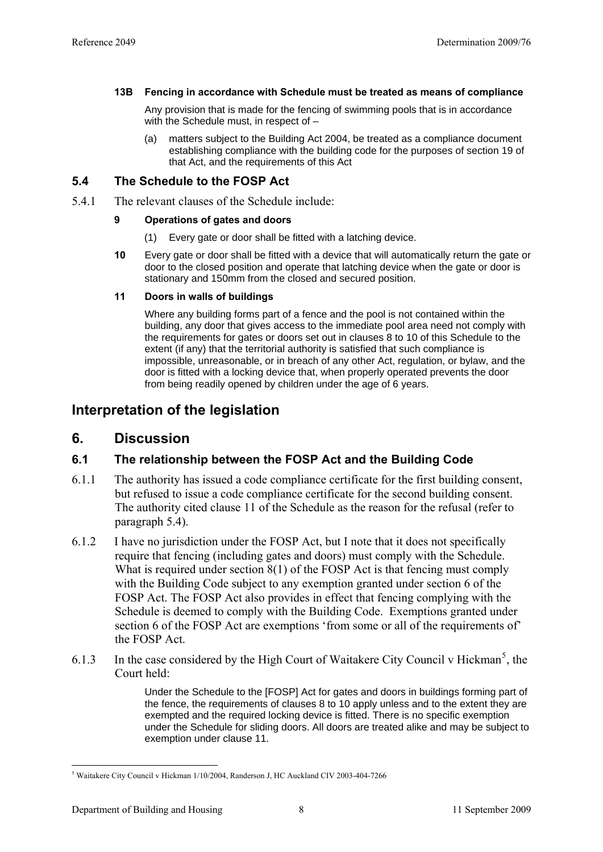#### **13B Fencing in accordance with Schedule must be treated as means of compliance**

Any provision that is made for the fencing of swimming pools that is in accordance with the Schedule must, in respect of -

(a) matters subject to the Building Act 2004, be treated as a compliance document establishing compliance with the building code for the purposes of section 19 of that Act, and the requirements of this Act

#### <span id="page-7-0"></span>**5.4 The Schedule to the FOSP Act**

5.4.1 The relevant clauses of the Schedule include:

#### **9 Operations of gates and doors**

- (1) Every gate or door shall be fitted with a latching device.
- **10** Every gate or door shall be fitted with a device that will automatically return the gate or door to the closed position and operate that latching device when the gate or door is stationary and 150mm from the closed and secured position.

#### **11 Doors in walls of buildings**

 Where any building forms part of a fence and the pool is not contained within the building, any door that gives access to the immediate pool area need not comply with the requirements for gates or doors set out in clauses 8 to 10 of this Schedule to the extent (if any) that the territorial authority is satisfied that such compliance is impossible, unreasonable, or in breach of any other Act, regulation, or bylaw, and the door is fitted with a locking device that, when properly operated prevents the door from being readily opened by children under the age of 6 years.

## **Interpretation of the legislation**

### **6. Discussion**

### **6.1 The relationship between the FOSP Act and the Building Code**

- 6.1.1 The authority has issued a code compliance certificate for the first building consent, but refused to issue a code compliance certificate for the second building consent. The authority cited clause 11 of the Schedule as the reason for the refusal (refer to paragraph [5.4](#page-7-0)).
- <span id="page-7-2"></span>6.1.2 I have no jurisdiction under the FOSP Act, but I note that it does not specifically require that fencing (including gates and doors) must comply with the Schedule. What is required under section 8(1) of the FOSP Act is that fencing must comply with the Building Code subject to any exemption granted under section 6 of the FOSP Act. The FOSP Act also provides in effect that fencing complying with the Schedule is deemed to comply with the Building Code. Exemptions granted under section 6 of the FOSP Act are exemptions 'from some or all of the requirements of' the FOSP Act.
- 6.1.3 In the case considered by the High Court of Waitakere City Council v Hickman<sup>[5](#page-7-1)</sup>, the Court held:

Under the Schedule to the [FOSP] Act for gates and doors in buildings forming part of the fence, the requirements of clauses 8 to 10 apply unless and to the extent they are exempted and the required locking device is fitted. There is no specific exemption under the Schedule for sliding doors. All doors are treated alike and may be subject to exemption under clause 11.

<u>.</u>

<span id="page-7-1"></span><sup>5</sup> Waitakere City Council v Hickman 1/10/2004, Randerson J, HC Auckland CIV 2003-404-7266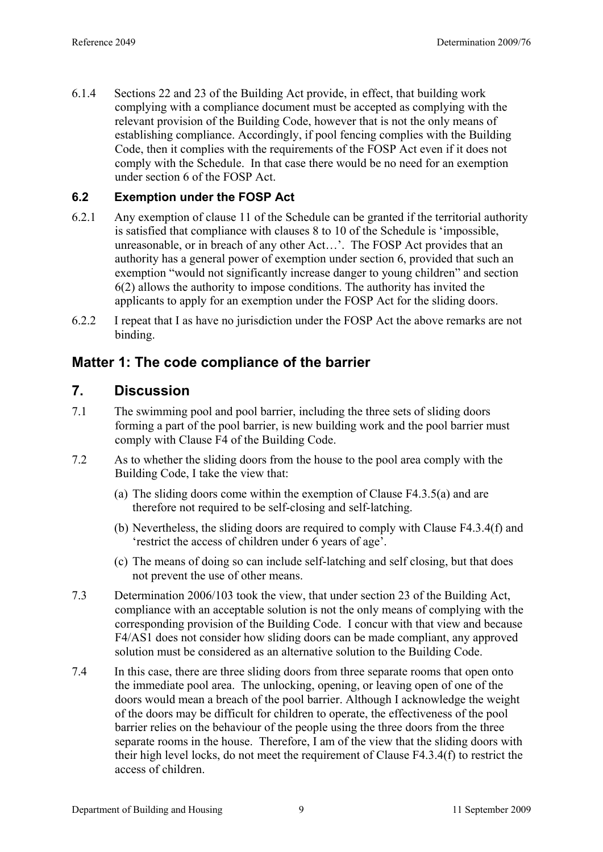6.1.4 Sections 22 and 23 of the Building Act provide, in effect, that building work complying with a compliance document must be accepted as complying with the relevant provision of the Building Code, however that is not the only means of establishing compliance. Accordingly, if pool fencing complies with the Building Code, then it complies with the requirements of the FOSP Act even if it does not comply with the Schedule. In that case there would be no need for an exemption under section 6 of the FOSP Act.

### **6.2 Exemption under the FOSP Act**

- 6.2.1 Any exemption of clause 11 of the Schedule can be granted if the territorial authority is satisfied that compliance with clauses 8 to 10 of the Schedule is 'impossible, unreasonable, or in breach of any other Act…'. The FOSP Act provides that an authority has a general power of exemption under section 6, provided that such an exemption "would not significantly increase danger to young children" and section 6(2) allows the authority to impose conditions. The authority has invited the applicants to apply for an exemption under the FOSP Act for the sliding doors.
- 6.2.2 I repeat that I as have no jurisdiction under the FOSP Act the above remarks are not binding.

# **Matter 1: The code compliance of the barrier**

# **7. Discussion**

- 7.1 The swimming pool and pool barrier, including the three sets of sliding doors forming a part of the pool barrier, is new building work and the pool barrier must comply with Clause F4 of the Building Code.
- 7.2 As to whether the sliding doors from the house to the pool area comply with the Building Code, I take the view that:
	- (a) The sliding doors come within the exemption of Clause F4.3.5(a) and are therefore not required to be self-closing and self-latching.
	- (b) Nevertheless, the sliding doors are required to comply with Clause F4.3.4(f) and 'restrict the access of children under 6 years of age'.
	- (c) The means of doing so can include self-latching and self closing, but that does not prevent the use of other means.
- 7.3 Determination 2006/103 took the view, that under section 23 of the Building Act, compliance with an acceptable solution is not the only means of complying with the corresponding provision of the Building Code. I concur with that view and because F4/AS1 does not consider how sliding doors can be made compliant, any approved solution must be considered as an alternative solution to the Building Code.
- 7.4 In this case, there are three sliding doors from three separate rooms that open onto the immediate pool area. The unlocking, opening, or leaving open of one of the doors would mean a breach of the pool barrier. Although I acknowledge the weight of the doors may be difficult for children to operate, the effectiveness of the pool barrier relies on the behaviour of the people using the three doors from the three separate rooms in the house. Therefore, I am of the view that the sliding doors with their high level locks, do not meet the requirement of Clause F4.3.4(f) to restrict the access of children.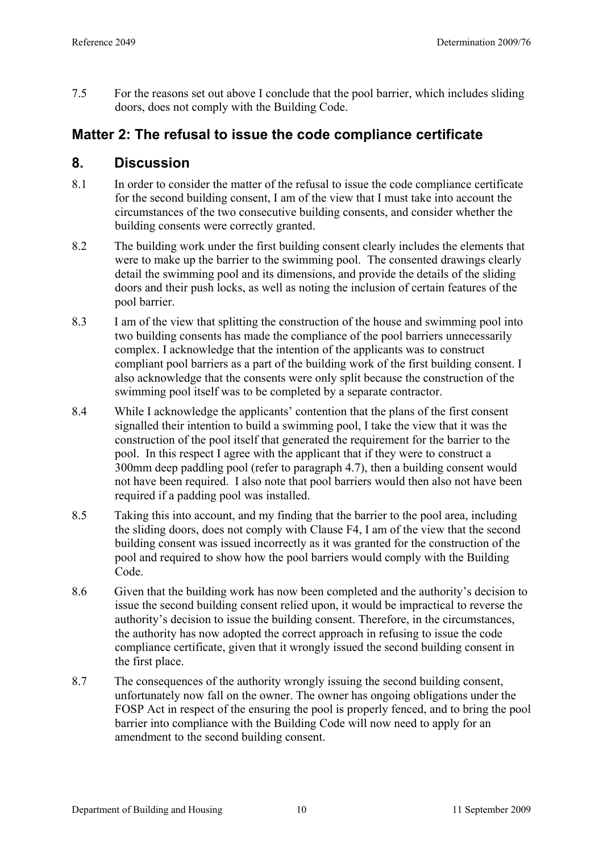7.5 For the reasons set out above I conclude that the pool barrier, which includes sliding doors, does not comply with the Building Code.

# **Matter 2: The refusal to issue the code compliance certificate**

# **8. Discussion**

- 8.1 In order to consider the matter of the refusal to issue the code compliance certificate for the second building consent, I am of the view that I must take into account the circumstances of the two consecutive building consents, and consider whether the building consents were correctly granted.
- 8.2 The building work under the first building consent clearly includes the elements that were to make up the barrier to the swimming pool. The consented drawings clearly detail the swimming pool and its dimensions, and provide the details of the sliding doors and their push locks, as well as noting the inclusion of certain features of the pool barrier.
- 8.3 I am of the view that splitting the construction of the house and swimming pool into two building consents has made the compliance of the pool barriers unnecessarily complex. I acknowledge that the intention of the applicants was to construct compliant pool barriers as a part of the building work of the first building consent. I also acknowledge that the consents were only split because the construction of the swimming pool itself was to be completed by a separate contractor.
- 8.4 While I acknowledge the applicants' contention that the plans of the first consent signalled their intention to build a swimming pool, I take the view that it was the construction of the pool itself that generated the requirement for the barrier to the pool. In this respect I agree with the applicant that if they were to construct a 300mm deep paddling pool (refer to paragraph [4.7](#page-4-1)), then a building consent would not have been required. I also note that pool barriers would then also not have been required if a padding pool was installed.
- 8.5 Taking this into account, and my finding that the barrier to the pool area, including the sliding doors, does not comply with Clause F4, I am of the view that the second building consent was issued incorrectly as it was granted for the construction of the pool and required to show how the pool barriers would comply with the Building Code.
- 8.6 Given that the building work has now been completed and the authority's decision to issue the second building consent relied upon, it would be impractical to reverse the authority's decision to issue the building consent. Therefore, in the circumstances, the authority has now adopted the correct approach in refusing to issue the code compliance certificate, given that it wrongly issued the second building consent in the first place.
- 8.7 The consequences of the authority wrongly issuing the second building consent, unfortunately now fall on the owner. The owner has ongoing obligations under the FOSP Act in respect of the ensuring the pool is properly fenced, and to bring the pool barrier into compliance with the Building Code will now need to apply for an amendment to the second building consent.